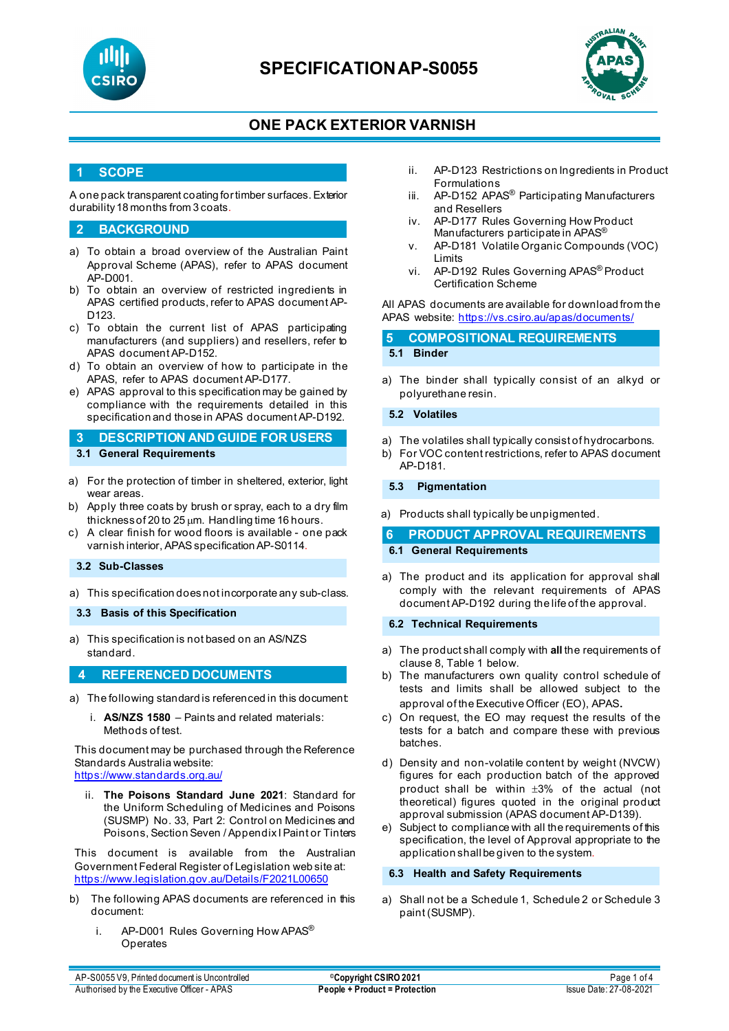

# **SPECIFICATIONAP-S0055**



## **ONE PACK EXTERIOR VARNISH**

### **1 SCOPE**

A one pack transparent coating for timber surfaces. Exterior durability 18 months from 3 coats.

### **2 BACKGROUND**

- a) To obtain a broad overview of the Australian Paint Approval Scheme (APAS), refer to APAS document AP-D001.
- b) To obtain an overview of restricted ingredients in APAS certified products, refer to APAS document AP-D123.
- c) To obtain the current list of APAS participating manufacturers (and suppliers) and resellers, refer to APAS document AP-D152.
- d) To obtain an overview of how to participate in the APAS, refer to APAS document AP-D177.
- e) APAS approval to this specification may be gained by compliance with the requirements detailed in this specification and those in APAS document AP-D192.

**3 DESCRIPTION AND GUIDE FOR USERS 3.1 General Requirements**

- a) For the protection of timber in sheltered, exterior, light wear areas.
- b) Apply three coats by brush or spray, each to a dry film thickness of 20 to 25  $\mu$ m. Handling time 16 hours.
- c) A clear finish for wood floors is available one pack varnish interior, APAS specification AP-S0114.

#### **3.2 Sub-Classes**

- a) This specification does not incorporate any sub-class.
- **3.3 Basis of this Specification**
- a) This specification is not based on an AS/NZS standard.

### **4 REFERENCED DOCUMENTS**

- a) The following standard is referenced in this document:
	- i. **AS/NZS 1580** Paints and related materials: Methods of test.

This document may be purchased through the Reference Standards Australia website:

- <https://www.standards.org.au/>
	- ii. **The Poisons Standard June 2021**: Standard for the Uniform Scheduling of Medicines and Poisons (SUSMP) No. 33, Part 2: Control on Medicines and Poisons, Section Seven / Appendix I Paint or Tinters

This document is available from the Australian Government Federal Register of Legislation web site at: <https://www.legislation.gov.au/Details/F2021L00650>

- b) The following APAS documents are referenced in this document:
	- i. AP-D001 Rules Governing How APAS<sup>®</sup> Operates
- ii. AP-D123 Restrictions on Ingredients in Product Formulations
- iii. AP-D152 APAS<sup>®</sup> Participating Manufacturers and Resellers
- iv. AP-D177 Rules Governing How Product Manufacturers participate in APAS<sup>®</sup>
- v. AP-D181 Volatile Organic Compounds (VOC) Limits
- vi. AP-D192 Rules Governing APAS® Product Certification Scheme

All APAS documents are available for download from the APAS website: <https://vs.csiro.au/apas/documents/>

# **5 COMPOSITIONAL REQUIREMENTS**

### **5.1 Binder**

a) The binder shall typically consist of an alkyd or polyurethane resin.

#### **5.2 Volatiles**

- a) The volatiles shall typically consist of hydrocarbons.
- b) For VOC content restrictions, refer to APAS document AP-D181.

#### **5.3 Pigmentation**

a) Products shall typically be unpigmented.

### **6 PRODUCT APPROVAL REQUIREMENTS 6.1 General Requirements**

- 
- a) The product and its application for approval shall comply with the relevant requirements of APAS document AP-D192 during the life of the approval.

#### **6.2 Technical Requirements**

- a) The product shall comply with **all** the requirements of clause 8, Table 1 below.
- b) The manufacturers own quality control schedule of tests and limits shall be allowed subject to the approval of the Executive Officer (EO), APAS.
- c) On request, the EO may request the results of the tests for a batch and compare these with previous batches.
- d) Density and non-volatile content by weight (NVCW) figures for each production batch of the approved product shall be within ±3% of the actual (not theoretical) figures quoted in the original product approval submission (APAS document AP-D139).
- e) Subject to compliance with all the requirements of this specification, the level of Approval appropriate to the application shall be given to the system.

#### **6.3 Health and Safety Requirements**

a) Shall not be a Schedule 1, Schedule 2 or Schedule 3 paint (SUSMP).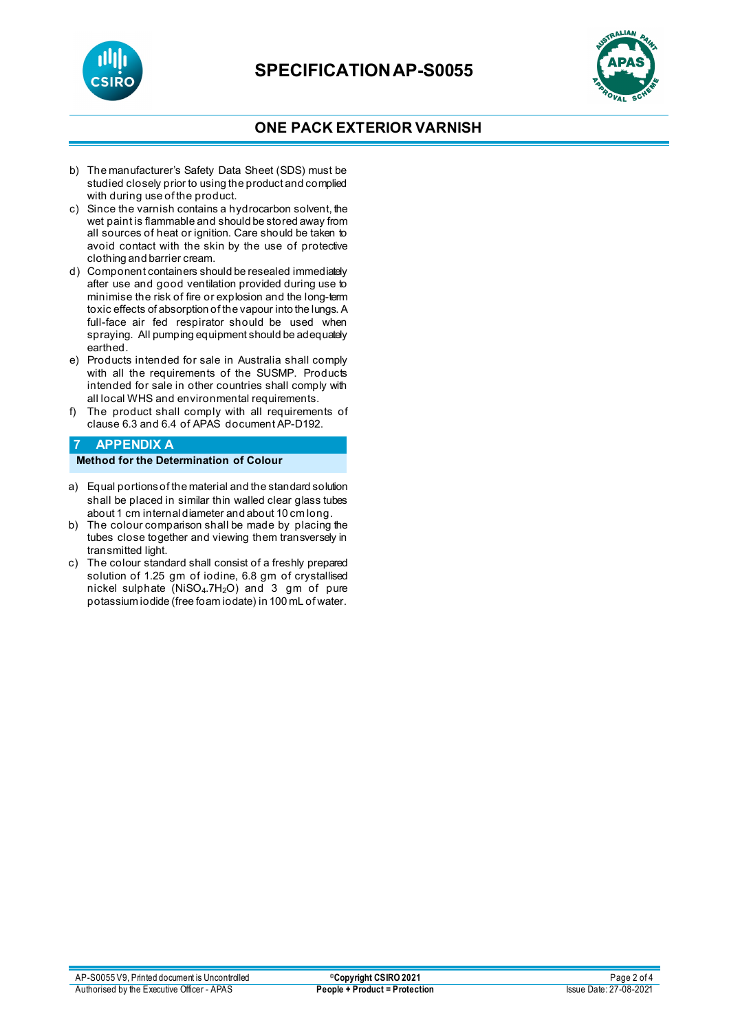



## **ONE PACK EXTERIOR VARNISH**

- b) The manufacturer's Safety Data Sheet (SDS) must be studied closely prior to using the product and complied with during use of the product.
- c) Since the varnish contains a hydrocarbon solvent, the wet paint is flammable and should be stored away from all sources of heat or ignition. Care should be taken to avoid contact with the skin by the use of protective clothing and barrier cream.
- d) Component containers should be resealed immediately after use and good ventilation provided during use to minimise the risk of fire or explosion and the long-term toxic effects of absorption of the vapour into the lungs. A full-face air fed respirator should be used when spraying. All pumping equipment should be adequately earthed.
- e) Products intended for sale in Australia shall comply with all the requirements of the SUSMP. Products intended for sale in other countries shall comply with all local WHS and environmental requirements.
- f) The product shall comply with all requirements of clause 6.3 and 6.4 of APAS document AP-D192.

## **7 APPENDIX A**

**Method for the Determination of Colour**

- a) Equal portions of the material and the standard solution shall be placed in similar thin walled clear glass tubes about 1 cm internal diameter and about 10 cm long.
- b) The colour comparison shall be made by placing the tubes close together and viewing them transversely in transmitted light.
- c) The colour standard shall consist of a freshly prepared solution of 1.25 gm of iodine, 6.8 gm of crystallised nickel sulphate (NiSO4.7H2O) and 3 gm of pure potassium iodide (free foam iodate) in 100 mL of water.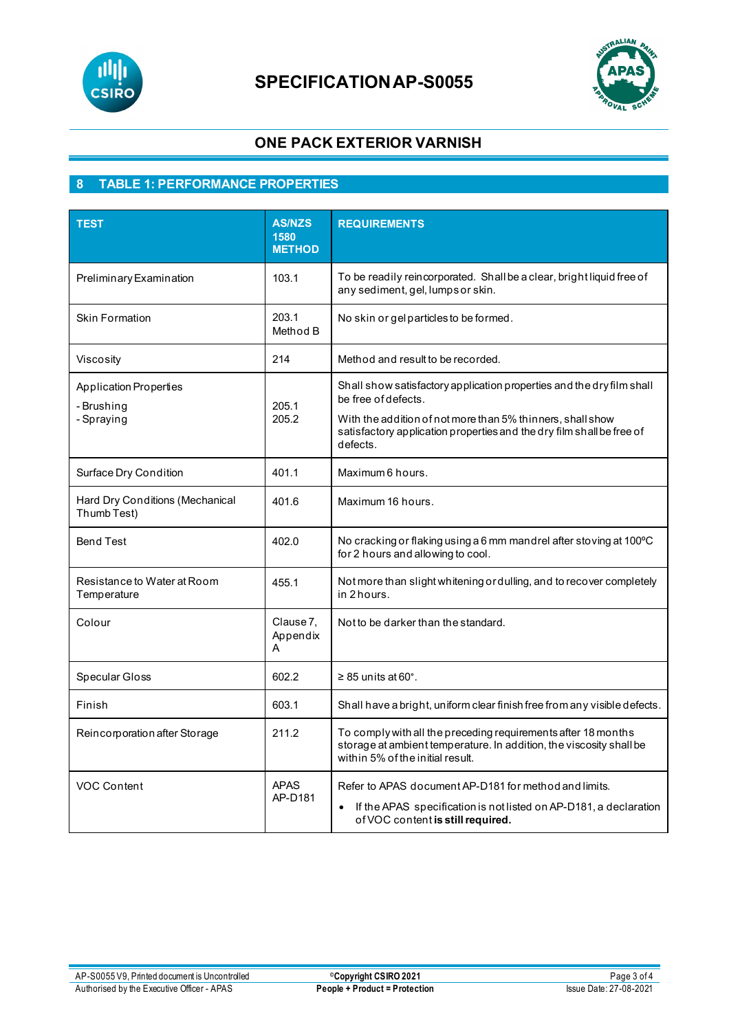

# **SPECIFICATIONAP-S0055**



# **ONE PACK EXTERIOR VARNISH**

# **8 TABLE 1: PERFORMANCE PROPERTIES**

| <b>TEST</b>                                               | <b>AS/NZS</b><br>1580<br><b>METHOD</b> | <b>REQUIREMENTS</b>                                                                                                                                                                                                                             |
|-----------------------------------------------------------|----------------------------------------|-------------------------------------------------------------------------------------------------------------------------------------------------------------------------------------------------------------------------------------------------|
| Preliminary Examination                                   | 103.1                                  | To be readily reincorporated. Shall be a clear, bright liquid free of<br>any sediment, gel, lumps or skin.                                                                                                                                      |
| <b>Skin Formation</b>                                     | 203.1<br>Method B                      | No skin or gelparticles to be formed.                                                                                                                                                                                                           |
| Viscosity                                                 | 214                                    | Method and result to be recorded.                                                                                                                                                                                                               |
| <b>Application Properties</b><br>- Brushing<br>- Spraying | 205.1<br>205.2                         | Shall show satisfactory application properties and the dry film shall<br>be free of defects.<br>With the addition of not more than 5% thinners, shall show<br>satisfactory application properties and the dry film shall be free of<br>defects. |
| Surface Dry Condition                                     | 401.1                                  | Maximum 6 hours.                                                                                                                                                                                                                                |
| Hard Dry Conditions (Mechanical<br>Thumb Test)            | 401.6                                  | Maximum 16 hours.                                                                                                                                                                                                                               |
| <b>Bend Test</b>                                          | 402.0                                  | No cracking or flaking using a 6 mm mandrel after stoving at 100°C<br>for 2 hours and allowing to cool.                                                                                                                                         |
| Resistance to Water at Room<br>Temperature                | 455.1                                  | Not more than slight whitening or dulling, and to recover completely<br>in 2 hours.                                                                                                                                                             |
| Colour                                                    | Clause 7,<br>Appendix<br>A             | Not to be darker than the standard.                                                                                                                                                                                                             |
| Specular Gloss                                            | 602.2                                  | $\geq$ 85 units at 60°.                                                                                                                                                                                                                         |
| Finish                                                    | 603.1                                  | Shall have a bright, uniform clear finish free from any visible defects.                                                                                                                                                                        |
| Reincorporation after Storage                             | 211.2                                  | To comply with all the preceding requirements after 18 months<br>storage at ambient temperature. In addition, the viscosity shall be<br>within 5% of the initial result.                                                                        |
| <b>VOC Content</b>                                        | <b>APAS</b><br>AP-D181                 | Refer to APAS document AP-D181 for method and limits.<br>If the APAS specification is not listed on AP-D181, a declaration<br>$\bullet$<br>of VOC content is still required.                                                                    |